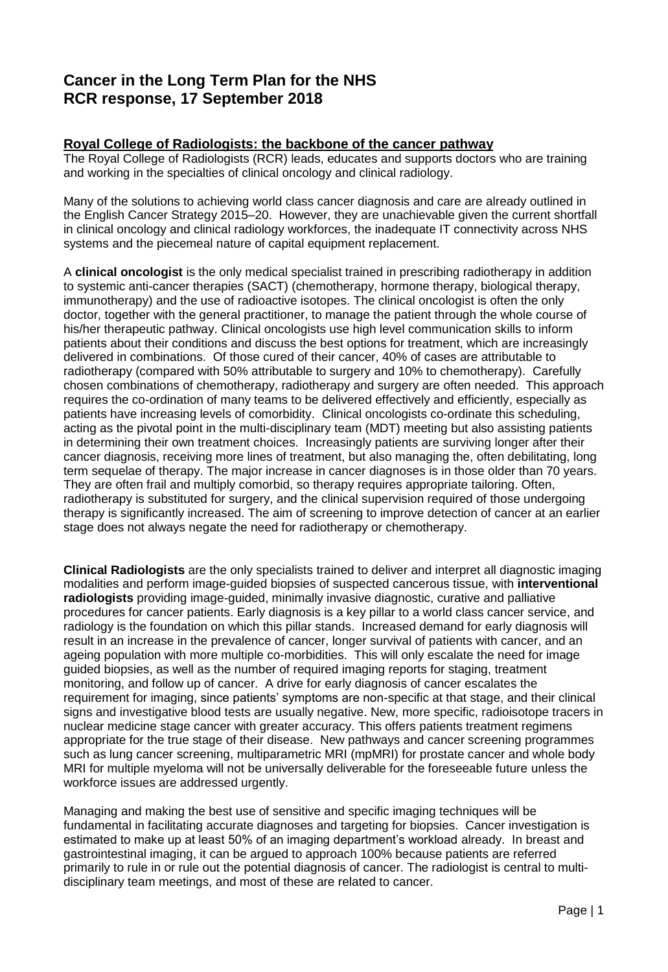# **Cancer in the Long Term Plan for the NHS RCR response, 17 September 2018**

# **Royal College of Radiologists: the backbone of the cancer pathway**

The Royal College of Radiologists (RCR) leads, educates and supports doctors who are training and working in the specialties of clinical oncology and clinical radiology.

Many of the solutions to achieving world class cancer diagnosis and care are already outlined in the English Cancer Strategy 2015–20. However, they are unachievable given the current shortfall in clinical oncology and clinical radiology workforces, the inadequate IT connectivity across NHS systems and the piecemeal nature of capital equipment replacement.

A **clinical oncologist** is the only medical specialist trained in prescribing radiotherapy in addition to systemic anti-cancer therapies (SACT) (chemotherapy, hormone therapy, biological therapy, immunotherapy) and the use of radioactive isotopes. The clinical oncologist is often the only doctor, together with the general practitioner, to manage the patient through the whole course of his/her therapeutic pathway. Clinical oncologists use high level communication skills to inform patients about their conditions and discuss the best options for treatment, which are increasingly delivered in combinations. Of those cured of their cancer, 40% of cases are attributable to radiotherapy (compared with 50% attributable to surgery and 10% to chemotherapy). Carefully chosen combinations of chemotherapy, radiotherapy and surgery are often needed. This approach requires the co-ordination of many teams to be delivered effectively and efficiently, especially as patients have increasing levels of comorbidity. Clinical oncologists co-ordinate this scheduling, acting as the pivotal point in the multi-disciplinary team (MDT) meeting but also assisting patients in determining their own treatment choices. Increasingly patients are surviving longer after their cancer diagnosis, receiving more lines of treatment, but also managing the, often debilitating, long term sequelae of therapy. The major increase in cancer diagnoses is in those older than 70 years. They are often frail and multiply comorbid, so therapy requires appropriate tailoring. Often, radiotherapy is substituted for surgery, and the clinical supervision required of those undergoing therapy is significantly increased. The aim of screening to improve detection of cancer at an earlier stage does not always negate the need for radiotherapy or chemotherapy.

**Clinical Radiologists** are the only specialists trained to deliver and interpret all diagnostic imaging modalities and perform image-guided biopsies of suspected cancerous tissue, with **interventional radiologists** providing image-guided, minimally invasive diagnostic, curative and palliative procedures for cancer patients. Early diagnosis is a key pillar to a world class cancer service, and radiology is the foundation on which this pillar stands. Increased demand for early diagnosis will result in an increase in the prevalence of cancer, longer survival of patients with cancer, and an ageing population with more multiple co-morbidities. This will only escalate the need for image guided biopsies, as well as the number of required imaging reports for staging, treatment monitoring, and follow up of cancer. A drive for early diagnosis of cancer escalates the requirement for imaging, since patients' symptoms are non-specific at that stage, and their clinical signs and investigative blood tests are usually negative. New, more specific, radioisotope tracers in nuclear medicine stage cancer with greater accuracy. This offers patients treatment regimens appropriate for the true stage of their disease. New pathways and cancer screening programmes such as lung cancer screening, multiparametric MRI (mpMRI) for prostate cancer and whole body MRI for multiple myeloma will not be universally deliverable for the foreseeable future unless the workforce issues are addressed urgently.

Managing and making the best use of sensitive and specific imaging techniques will be fundamental in facilitating accurate diagnoses and targeting for biopsies. Cancer investigation is estimated to make up at least 50% of an imaging department's workload already. In breast and gastrointestinal imaging, it can be argued to approach 100% because patients are referred primarily to rule in or rule out the potential diagnosis of cancer. The radiologist is central to multidisciplinary team meetings, and most of these are related to cancer.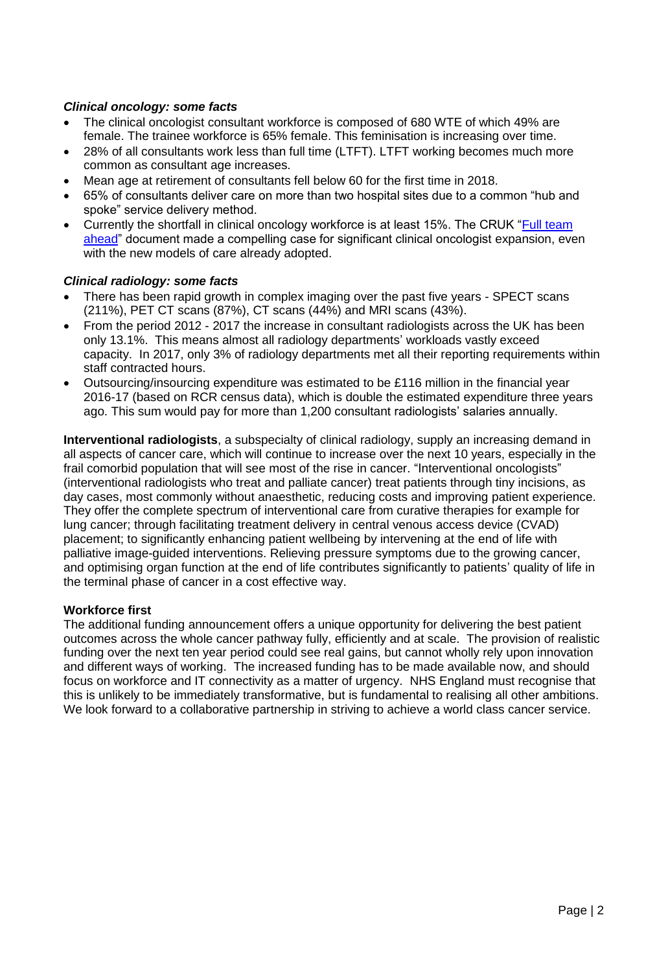# *Clinical oncology: some facts*

- The clinical oncologist consultant workforce is composed of 680 WTE of which 49% are female. The trainee workforce is 65% female. This feminisation is increasing over time.
- 28% of all consultants work less than full time (LTFT). LTFT working becomes much more common as consultant age increases.
- Mean age at retirement of consultants fell below 60 for the first time in 2018.
- 65% of consultants deliver care on more than two hospital sites due to a common "hub and spoke" service delivery method.
- Currently the shortfall in clinical oncology workforce is at least 15%. The CRUK "Full team [ahead"](https://www.clinicaloncologyonline.net/article/S0936-6555(17)30305-9/pdf) document made a compelling case for significant clinical oncologist expansion, even with the new models of care already adopted.

#### *Clinical radiology: some facts*

- There has been rapid growth in complex imaging over the past five years SPECT scans (211%), PET CT scans (87%), CT scans (44%) and MRI scans (43%).
- From the period 2012 2017 the increase in consultant radiologists across the UK has been only 13.1%. This means almost all radiology departments' workloads vastly exceed capacity. In 2017, only 3% of radiology departments met all their reporting requirements within staff contracted hours.
- Outsourcing/insourcing expenditure was estimated to be £116 million in the financial year 2016-17 (based on RCR census data), which is double the estimated expenditure three years ago. This sum would pay for more than 1,200 consultant radiologists' salaries annually.

**Interventional radiologists**, a subspecialty of clinical radiology, supply an increasing demand in all aspects of cancer care, which will continue to increase over the next 10 years, especially in the frail comorbid population that will see most of the rise in cancer. "Interventional oncologists" (interventional radiologists who treat and palliate cancer) treat patients through tiny incisions, as day cases, most commonly without anaesthetic, reducing costs and improving patient experience. They offer the complete spectrum of interventional care from curative therapies for example for lung cancer; through facilitating treatment delivery in central venous access device (CVAD) placement; to significantly enhancing patient wellbeing by intervening at the end of life with palliative image-guided interventions. Relieving pressure symptoms due to the growing cancer, and optimising organ function at the end of life contributes significantly to patients' quality of life in the terminal phase of cancer in a cost effective way.

#### **Workforce first**

The additional funding announcement offers a unique opportunity for delivering the best patient outcomes across the whole cancer pathway fully, efficiently and at scale. The provision of realistic funding over the next ten year period could see real gains, but cannot wholly rely upon innovation and different ways of working. The increased funding has to be made available now, and should focus on workforce and IT connectivity as a matter of urgency. NHS England must recognise that this is unlikely to be immediately transformative, but is fundamental to realising all other ambitions. We look forward to a collaborative partnership in striving to achieve a world class cancer service.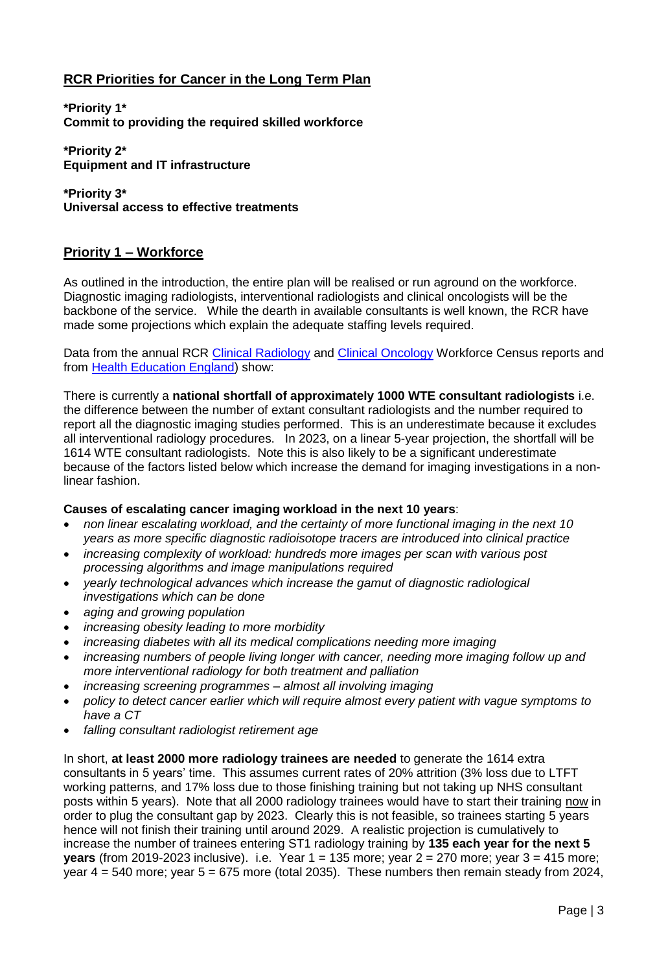# **RCR Priorities for Cancer in the Long Term Plan**

**\*Priority 1\* Commit to providing the required skilled workforce**

**\*Priority 2\* Equipment and IT infrastructure**

**\*Priority 3\* Universal access to effective treatments**

# **Priority 1 – Workforce**

As outlined in the introduction, the entire plan will be realised or run aground on the workforce. Diagnostic imaging radiologists, interventional radiologists and clinical oncologists will be the backbone of the service. While the dearth in available consultants is well known, the RCR have made some projections which explain the adequate staffing levels required.

Data from the annual RCR [Clinical Radiology](https://www.rcr.ac.uk/clinical-radiology/service-delivery/rcr-radiology-workforce-census) and [Clinical Oncology](https://www.rcr.ac.uk/clinical-oncology/service-delivery/rcr-oncology-workforce-census) Workforce Census reports and from [Health Education England\)](https://www.hee.nhs.uk/sites/default/files/documents/Facing%20the%20Facts%2C%20Shaping%20the%20Future%20%E2%80%93%20a%20draft%20health%20and%20care%20workforce%20strategy%20for%20England%20to%202027.pdf) show:

There is currently a **national shortfall of approximately 1000 WTE consultant radiologists** i.e. the difference between the number of extant consultant radiologists and the number required to report all the diagnostic imaging studies performed. This is an underestimate because it excludes all interventional radiology procedures. In 2023, on a linear 5-year projection, the shortfall will be 1614 WTE consultant radiologists. Note this is also likely to be a significant underestimate because of the factors listed below which increase the demand for imaging investigations in a nonlinear fashion.

# **Causes of escalating cancer imaging workload in the next 10 years**:

- *non linear escalating workload, and the certainty of more functional imaging in the next 10 years as more specific diagnostic radioisotope tracers are introduced into clinical practice*
- *increasing complexity of workload: hundreds more images per scan with various post processing algorithms and image manipulations required*
- *yearly technological advances which increase the gamut of diagnostic radiological investigations which can be done*
- *aging and growing population*
- *increasing obesity leading to more morbidity*
- *increasing diabetes with all its medical complications needing more imaging*
- *increasing numbers of people living longer with cancer, needing more imaging follow up and more interventional radiology for both treatment and palliation*
- *increasing screening programmes – almost all involving imaging*
- *policy to detect cancer earlier which will require almost every patient with vague symptoms to have a CT*
- *falling consultant radiologist retirement age*

In short, **at least 2000 more radiology trainees are needed** to generate the 1614 extra consultants in 5 years' time. This assumes current rates of 20% attrition (3% loss due to LTFT working patterns, and 17% loss due to those finishing training but not taking up NHS consultant posts within 5 years). Note that all 2000 radiology trainees would have to start their training now in order to plug the consultant gap by 2023. Clearly this is not feasible, so trainees starting 5 years hence will not finish their training until around 2029. A realistic projection is cumulatively to increase the number of trainees entering ST1 radiology training by **135 each year for the next 5 years** (from 2019-2023 inclusive). i.e. Year 1 = 135 more; year 2 = 270 more; year 3 = 415 more; year 4 = 540 more; year 5 = 675 more (total 2035). These numbers then remain steady from 2024,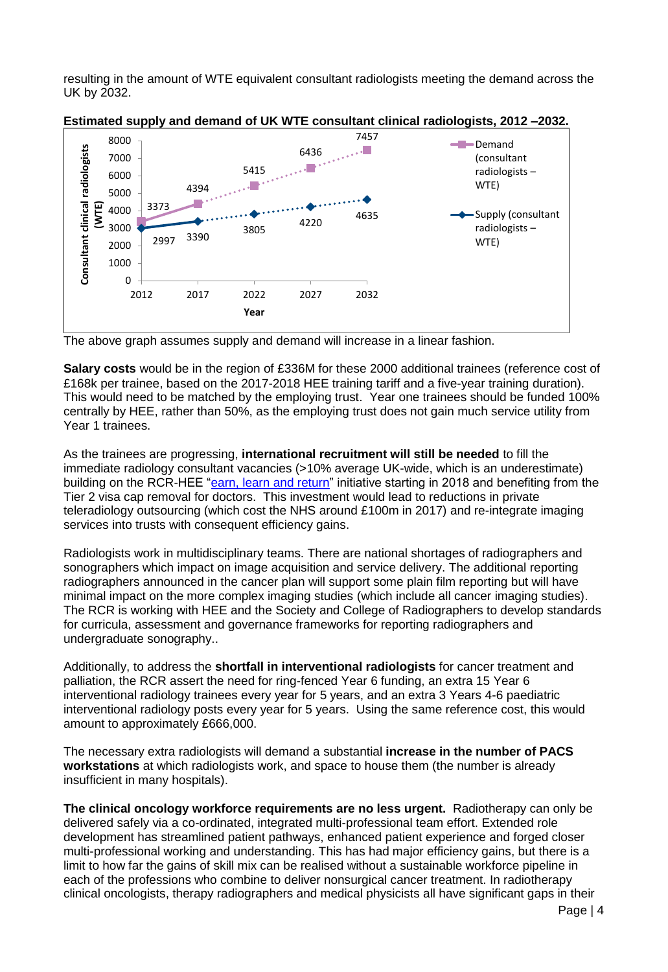resulting in the amount of WTE equivalent consultant radiologists meeting the demand across the UK by 2032.





The above graph assumes supply and demand will increase in a linear fashion.

**Salary costs** would be in the region of £336M for these 2000 additional trainees (reference cost of £168k per trainee, based on the 2017-2018 HEE training tariff and a five-year training duration). This would need to be matched by the employing trust. Year one trainees should be funded 100% centrally by HEE, rather than 50%, as the employing trust does not gain much service utility from Year 1 trainees.

As the trainees are progressing, **international recruitment will still be needed** to fill the immediate radiology consultant vacancies (>10% average UK-wide, which is an underestimate) building on the RCR-HEE ["earn, learn and return"](https://www.rcr.ac.uk/clinical-radiology/being-consultant/working-uk/earn-learn-and-return-scheme) initiative starting in 2018 and benefiting from the Tier 2 visa cap removal for doctors. This investment would lead to reductions in private teleradiology outsourcing (which cost the NHS around £100m in 2017) and re-integrate imaging services into trusts with consequent efficiency gains.

Radiologists work in multidisciplinary teams. There are national shortages of radiographers and sonographers which impact on image acquisition and service delivery. The additional reporting radiographers announced in the cancer plan will support some plain film reporting but will have minimal impact on the more complex imaging studies (which include all cancer imaging studies). The RCR is working with HEE and the Society and College of Radiographers to develop standards for curricula, assessment and governance frameworks for reporting radiographers and undergraduate sonography..

Additionally, to address the **shortfall in interventional radiologists** for cancer treatment and palliation, the RCR assert the need for ring-fenced Year 6 funding, an extra 15 Year 6 interventional radiology trainees every year for 5 years, and an extra 3 Years 4-6 paediatric interventional radiology posts every year for 5 years. Using the same reference cost, this would amount to approximately £666,000.

The necessary extra radiologists will demand a substantial **increase in the number of PACS workstations** at which radiologists work, and space to house them (the number is already insufficient in many hospitals).

**The clinical oncology workforce requirements are no less urgent.** Radiotherapy can only be delivered safely via a co-ordinated, integrated multi-professional team effort. Extended role development has streamlined patient pathways, enhanced patient experience and forged closer multi-professional working and understanding. This has had major efficiency gains, but there is a limit to how far the gains of skill mix can be realised without a sustainable workforce pipeline in each of the professions who combine to deliver nonsurgical cancer treatment. In radiotherapy clinical oncologists, therapy radiographers and medical physicists all have significant gaps in their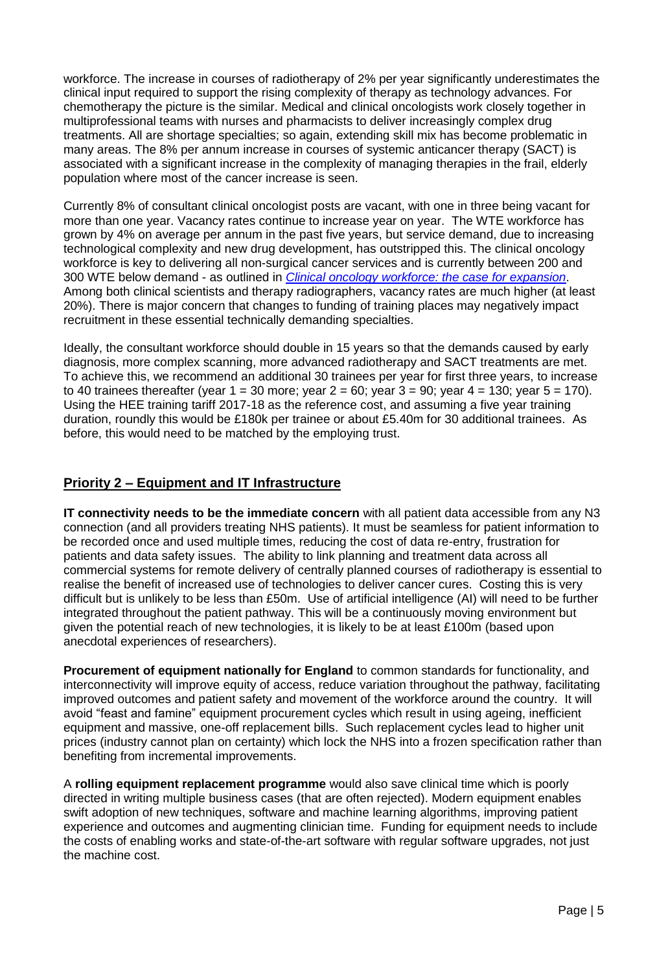workforce. The increase in courses of radiotherapy of 2% per year significantly underestimates the clinical input required to support the rising complexity of therapy as technology advances. For chemotherapy the picture is the similar. Medical and clinical oncologists work closely together in multiprofessional teams with nurses and pharmacists to deliver increasingly complex drug treatments. All are shortage specialties; so again, extending skill mix has become problematic in many areas. The 8% per annum increase in courses of systemic anticancer therapy (SACT) is associated with a significant increase in the complexity of managing therapies in the frail, elderly population where most of the cancer increase is seen.

Currently 8% of consultant clinical oncologist posts are vacant, with one in three being vacant for more than one year. Vacancy rates continue to increase year on year. The WTE workforce has grown by 4% on average per annum in the past five years, but service demand, due to increasing technological complexity and new drug development, has outstripped this. The clinical oncology workforce is key to delivering all non-surgical cancer services and is currently between 200 and 300 WTE below demand - as outlined in *[Clinical oncology workforce: the case for expansion](http://www.rcr.ac.uk/system/files/publication/field_publication_files/bfco145_co_workforce.pdf)*. Among both clinical scientists and therapy radiographers, vacancy rates are much higher (at least 20%). There is major concern that changes to funding of training places may negatively impact recruitment in these essential technically demanding specialties.

Ideally, the consultant workforce should double in 15 years so that the demands caused by early diagnosis, more complex scanning, more advanced radiotherapy and SACT treatments are met. To achieve this, we recommend an additional 30 trainees per year for first three years, to increase to 40 trainees thereafter (year  $1 = 30$  more; year  $2 = 60$ ; year  $3 = 90$ ; year  $4 = 130$ ; year  $5 = 170$ ). Using the HEE training tariff 2017-18 as the reference cost, and assuming a five year training duration, roundly this would be £180k per trainee or about £5.40m for 30 additional trainees. As before, this would need to be matched by the employing trust.

# **Priority 2 – Equipment and IT Infrastructure**

**IT connectivity needs to be the immediate concern** with all patient data accessible from any N3 connection (and all providers treating NHS patients). It must be seamless for patient information to be recorded once and used multiple times, reducing the cost of data re-entry, frustration for patients and data safety issues. The ability to link planning and treatment data across all commercial systems for remote delivery of centrally planned courses of radiotherapy is essential to realise the benefit of increased use of technologies to deliver cancer cures. Costing this is very difficult but is unlikely to be less than £50m. Use of artificial intelligence (AI) will need to be further integrated throughout the patient pathway. This will be a continuously moving environment but given the potential reach of new technologies, it is likely to be at least £100m (based upon anecdotal experiences of researchers).

**Procurement of equipment nationally for England** to common standards for functionality, and interconnectivity will improve equity of access, reduce variation throughout the pathway, facilitating improved outcomes and patient safety and movement of the workforce around the country. It will avoid "feast and famine" equipment procurement cycles which result in using ageing, inefficient equipment and massive, one-off replacement bills. Such replacement cycles lead to higher unit prices (industry cannot plan on certainty) which lock the NHS into a frozen specification rather than benefiting from incremental improvements.

A **rolling equipment replacement programme** would also save clinical time which is poorly directed in writing multiple business cases (that are often rejected). Modern equipment enables swift adoption of new techniques, software and machine learning algorithms, improving patient experience and outcomes and augmenting clinician time. Funding for equipment needs to include the costs of enabling works and state-of-the-art software with regular software upgrades, not just the machine cost.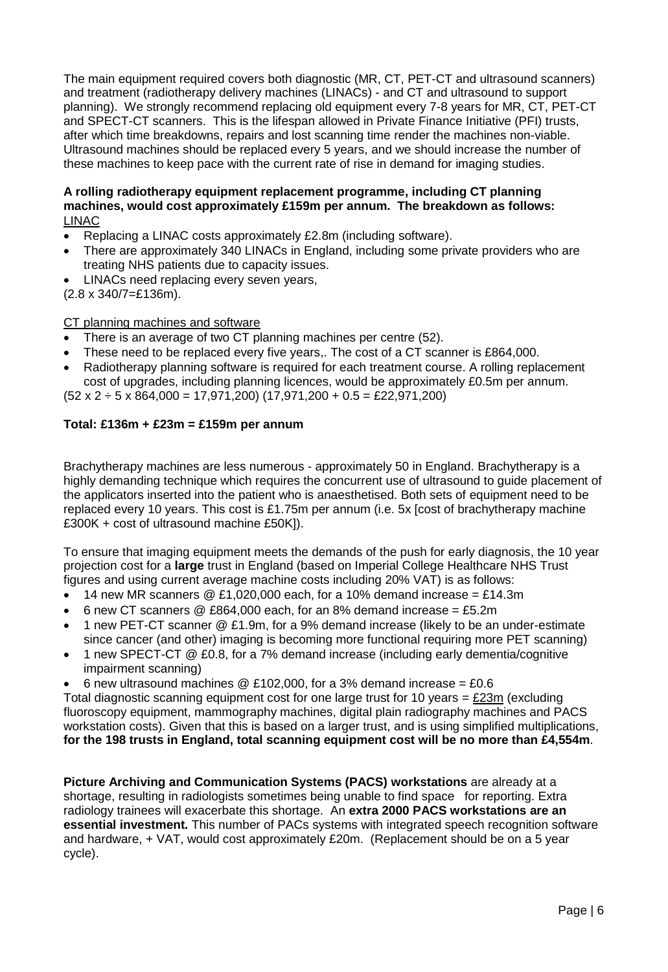The main equipment required covers both diagnostic (MR, CT, PET-CT and ultrasound scanners) and treatment (radiotherapy delivery machines (LINACs) - and CT and ultrasound to support planning). We strongly recommend replacing old equipment every 7-8 years for MR, CT, PET-CT and SPECT-CT scanners. This is the lifespan allowed in Private Finance Initiative (PFI) trusts, after which time breakdowns, repairs and lost scanning time render the machines non-viable. Ultrasound machines should be replaced every 5 years, and we should increase the number of these machines to keep pace with the current rate of rise in demand for imaging studies.

#### **A rolling radiotherapy equipment replacement programme, including CT planning machines, would cost approximately £159m per annum. The breakdown as follows:** LINAC

- Replacing a LINAC costs approximately £2.8m (including software).
- There are approximately 340 LINACs in England, including some private providers who are treating NHS patients due to capacity issues.
- LINACs need replacing every seven years,

(2.8 x 340/7=£136m).

# CT planning machines and software

- There is an average of two CT planning machines per centre (52).
- These need to be replaced every five years,. The cost of a CT scanner is £864,000.
- Radiotherapy planning software is required for each treatment course. A rolling replacement cost of upgrades, including planning licences, would be approximately £0.5m per annum.

 $(52 \times 2 \div 5 \times 864,000 = 17,971,200)$   $(17,971,200 + 0.5 = \text{\textsterling}22,971,200)$ 

#### **Total: £136m + £23m = £159m per annum**

Brachytherapy machines are less numerous - approximately 50 in England. Brachytherapy is a highly demanding technique which requires the concurrent use of ultrasound to guide placement of the applicators inserted into the patient who is anaesthetised. Both sets of equipment need to be replaced every 10 years. This cost is £1.75m per annum (i.e. 5x [cost of brachytherapy machine £300K + cost of ultrasound machine £50K]).

To ensure that imaging equipment meets the demands of the push for early diagnosis, the 10 year projection cost for a **large** trust in England (based on Imperial College Healthcare NHS Trust figures and using current average machine costs including 20% VAT) is as follows:

- 14 new MR scanners  $\textcircled{E}$  £1,020,000 each, for a 10% demand increase = £14.3m
- 6 new CT scanners @ £864,000 each, for an 8% demand increase = £5.2m
- 1 new PET-CT scanner @ £1.9m, for a 9% demand increase (likely to be an under-estimate since cancer (and other) imaging is becoming more functional requiring more PET scanning)
- 1 new SPECT-CT @ £0.8, for a 7% demand increase (including early dementia/cognitive impairment scanning)
- 6 new ultrasound machines @ £102,000, for a 3% demand increase =  $£0.6$

Total diagnostic scanning equipment cost for one large trust for 10 years =  $E/23m$  (excluding fluoroscopy equipment, mammography machines, digital plain radiography machines and PACS workstation costs). Given that this is based on a larger trust, and is using simplified multiplications, **for the 198 trusts in England, total scanning equipment cost will be no more than £4,554m**.

**Picture Archiving and Communication Systems (PACS) workstations** are already at a shortage, resulting in radiologists sometimes being unable to find space for reporting. Extra radiology trainees will exacerbate this shortage. An **extra 2000 PACS workstations are an essential investment.** This number of PACs systems with integrated speech recognition software and hardware, + VAT, would cost approximately £20m. (Replacement should be on a 5 year cycle).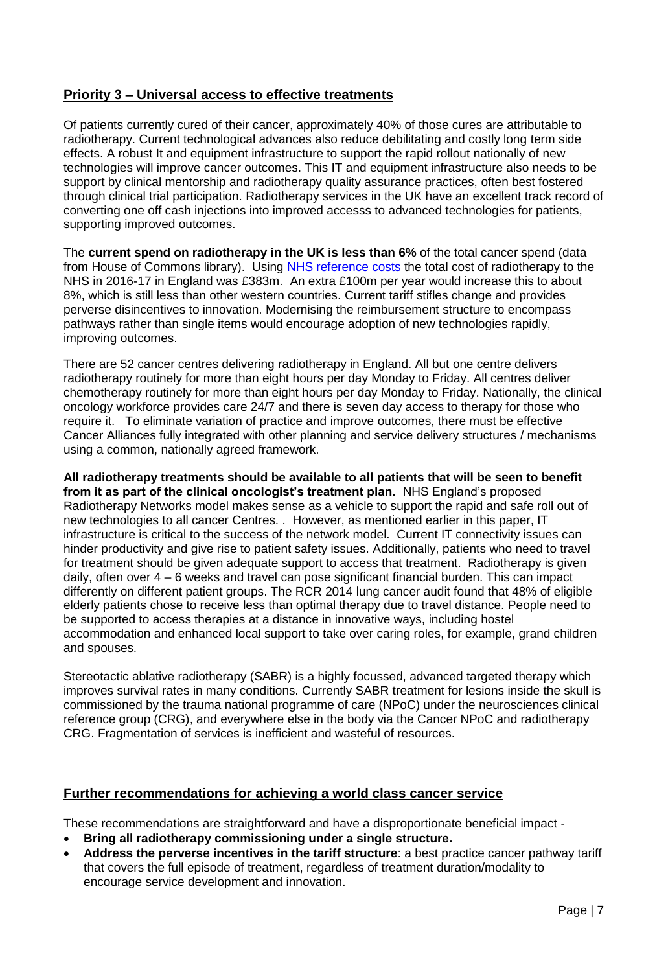# **Priority 3 – Universal access to effective treatments**

Of patients currently cured of their cancer, approximately 40% of those cures are attributable to radiotherapy. Current technological advances also reduce debilitating and costly long term side effects. A robust It and equipment infrastructure to support the rapid rollout nationally of new technologies will improve cancer outcomes. This IT and equipment infrastructure also needs to be support by clinical mentorship and radiotherapy quality assurance practices, often best fostered through clinical trial participation. Radiotherapy services in the UK have an excellent track record of converting one off cash injections into improved accesss to advanced technologies for patients, supporting improved outcomes.

The **current spend on radiotherapy in the UK is less than 6%** of the total cancer spend (data from House of Commons library). Using [NHS reference costs](https://emea01.safelinks.protection.outlook.com/?url=https%3A%2F%2Fimprovement.nhs.uk%2Fresources%2Freference-costs%2F&data=02%7C01%7Cpatprice%40patprice.co.uk%7C9c80a8ed6c6f4abac1eb08d5cf87441e%7C22ecea94fe554d6d88cc85b7cd53cbc0%7C0%7C0%7C636643102243209289&sdata=MDrYWnUmretG6G%2BJBDXT9qsOsdYgRYJZX5%2BsPpT4vJU%3D&reserved=0) the total cost of radiotherapy to the NHS in 2016-17 in England was £383m. An extra £100m per year would increase this to about 8%, which is still less than other western countries. Current tariff stifles change and provides perverse disincentives to innovation. Modernising the reimbursement structure to encompass pathways rather than single items would encourage adoption of new technologies rapidly, improving outcomes.

There are 52 cancer centres delivering radiotherapy in England. All but one centre delivers radiotherapy routinely for more than eight hours per day Monday to Friday. All centres deliver chemotherapy routinely for more than eight hours per day Monday to Friday. Nationally, the clinical oncology workforce provides care 24/7 and there is seven day access to therapy for those who require it. To eliminate variation of practice and improve outcomes, there must be effective Cancer Alliances fully integrated with other planning and service delivery structures / mechanisms using a common, nationally agreed framework.

**All radiotherapy treatments should be available to all patients that will be seen to benefit from it as part of the clinical oncologist's treatment plan.** NHS England's proposed Radiotherapy Networks model makes sense as a vehicle to support the rapid and safe roll out of new technologies to all cancer Centres. . However, as mentioned earlier in this paper, IT infrastructure is critical to the success of the network model. Current IT connectivity issues can hinder productivity and give rise to patient safety issues. Additionally, patients who need to travel for treatment should be given adequate support to access that treatment. Radiotherapy is given daily, often over 4 – 6 weeks and travel can pose significant financial burden. This can impact differently on different patient groups. The RCR 2014 lung cancer audit found that 48% of eligible elderly patients chose to receive less than optimal therapy due to travel distance. People need to be supported to access therapies at a distance in innovative ways, including hostel accommodation and enhanced local support to take over caring roles, for example, grand children and spouses.

Stereotactic ablative radiotherapy (SABR) is a highly focussed, advanced targeted therapy which improves survival rates in many conditions. Currently SABR treatment for lesions inside the skull is commissioned by the trauma national programme of care (NPoC) under the neurosciences clinical reference group (CRG), and everywhere else in the body via the Cancer NPoC and radiotherapy CRG. Fragmentation of services is inefficient and wasteful of resources.

# **Further recommendations for achieving a world class cancer service**

These recommendations are straightforward and have a disproportionate beneficial impact -

- **Bring all radiotherapy commissioning under a single structure.**
- **Address the perverse incentives in the tariff structure**: a best practice cancer pathway tariff that covers the full episode of treatment, regardless of treatment duration/modality to encourage service development and innovation.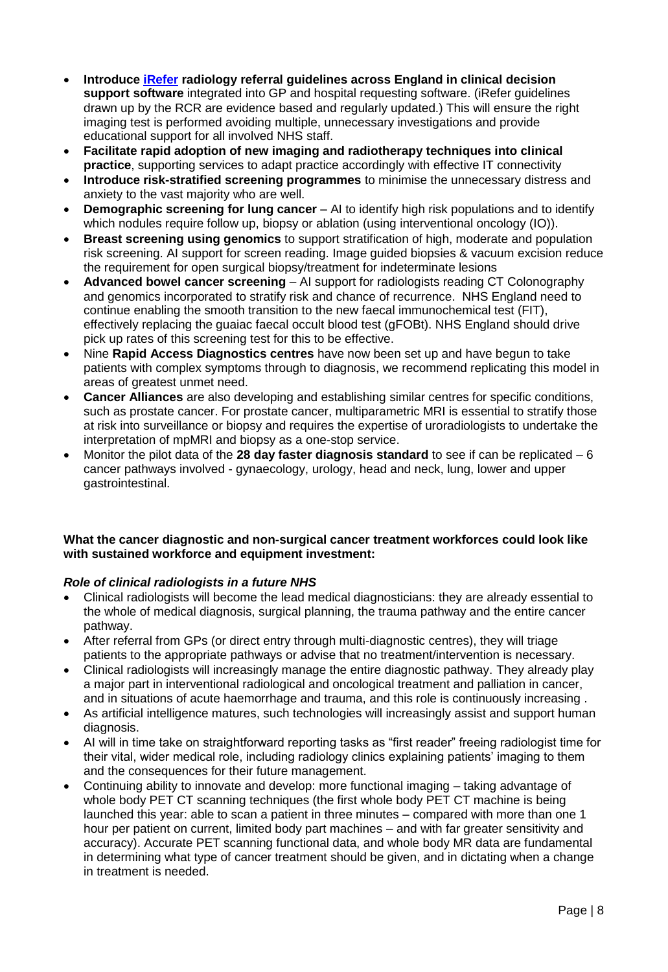- **Introduce [iRefer](https://www.irefer.org.uk/) radiology referral guidelines across England in clinical decision support software** integrated into GP and hospital requesting software. (iRefer guidelines drawn up by the RCR are evidence based and regularly updated.) This will ensure the right imaging test is performed avoiding multiple, unnecessary investigations and provide educational support for all involved NHS staff.
- **Facilitate rapid adoption of new imaging and radiotherapy techniques into clinical practice**, supporting services to adapt practice accordingly with effective IT connectivity
- **Introduce risk-stratified screening programmes** to minimise the unnecessary distress and anxiety to the vast majority who are well.
- **Demographic screening for lung cancer** AI to identify high risk populations and to identify which nodules require follow up, biopsy or ablation (using interventional oncology (IO)).
- **Breast screening using genomics** to support stratification of high, moderate and population risk screening. AI support for screen reading. Image guided biopsies & vacuum excision reduce the requirement for open surgical biopsy/treatment for indeterminate lesions
- **Advanced bowel cancer screening** AI support for radiologists reading CT Colonography and genomics incorporated to stratify risk and chance of recurrence. NHS England need to continue enabling the smooth transition to the new faecal immunochemical test (FIT), effectively replacing the guaiac faecal occult blood test (gFOBt). NHS England should drive pick up rates of this screening test for this to be effective.
- Nine **Rapid Access Diagnostics centres** have now been set up and have begun to take patients with complex symptoms through to diagnosis, we recommend replicating this model in areas of greatest unmet need.
- **Cancer Alliances** are also developing and establishing similar centres for specific conditions, such as prostate cancer. For prostate cancer, multiparametric MRI is essential to stratify those at risk into surveillance or biopsy and requires the expertise of uroradiologists to undertake the interpretation of mpMRI and biopsy as a one-stop service.
- Monitor the pilot data of the **28 day faster diagnosis standard** to see if can be replicated 6 cancer pathways involved - gynaecology, urology, head and neck, lung, lower and upper gastrointestinal.

# **What the cancer diagnostic and non-surgical cancer treatment workforces could look like with sustained workforce and equipment investment:**

# *Role of clinical radiologists in a future NHS*

- Clinical radiologists will become the lead medical diagnosticians: they are already essential to the whole of medical diagnosis, surgical planning, the trauma pathway and the entire cancer pathway.
- After referral from GPs (or direct entry through multi-diagnostic centres), they will triage patients to the appropriate pathways or advise that no treatment/intervention is necessary.
- Clinical radiologists will increasingly manage the entire diagnostic pathway. They already play a major part in interventional radiological and oncological treatment and palliation in cancer, and in situations of acute haemorrhage and trauma, and this role is continuously increasing .
- As artificial intelligence matures, such technologies will increasingly assist and support human diagnosis.
- AI will in time take on straightforward reporting tasks as "first reader" freeing radiologist time for their vital, wider medical role, including radiology clinics explaining patients' imaging to them and the consequences for their future management.
- Continuing ability to innovate and develop: more functional imaging taking advantage of whole body PET CT scanning techniques (the first whole body PET CT machine is being launched this year: able to scan a patient in three minutes – compared with more than one 1 hour per patient on current, limited body part machines – and with far greater sensitivity and accuracy). Accurate PET scanning functional data, and whole body MR data are fundamental in determining what type of cancer treatment should be given, and in dictating when a change in treatment is needed.